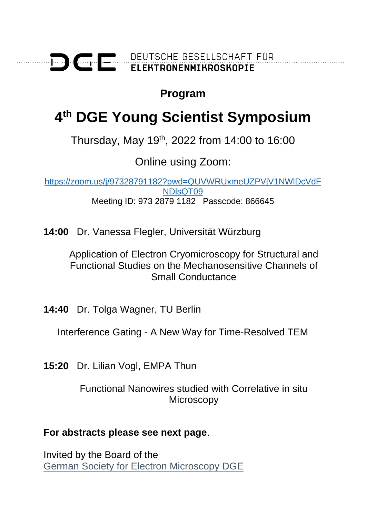

## **Program**

# **4 th DGE Young Scientist Symposium**

Thursday, May 19th, 2022 from 14:00 to 16:00

Online using Zoom:

[https://zoom.us/j/97328791182?pwd=QUVWRUxmeUZPVjV1NWlDcVdF](https://zoom.us/j/97328791182?pwd=QUVWRUxmeUZPVjV1NWlDcVdFNDlsQT09) [NDlsQT09](https://zoom.us/j/97328791182?pwd=QUVWRUxmeUZPVjV1NWlDcVdFNDlsQT09) Meeting ID: 973 2879 1182 Passcode: 866645

**14:00** Dr. Vanessa Flegler, Universität Würzburg

Application of Electron Cryomicroscopy for Structural and Functional Studies on the Mechanosensitive Channels of Small Conductance

**14:40** Dr. Tolga Wagner, TU Berlin

Interference Gating - A New Way for Time-Resolved TEM

**15:20** Dr. Lilian Vogl, EMPA Thun

Functional Nanowires studied with Correlative in situ **Microscopy** 

### **For abstracts please see next page**.

Invited by the Board of the [German Society for Electron Microscopy](http://www.dge-homepage.de/) DGE